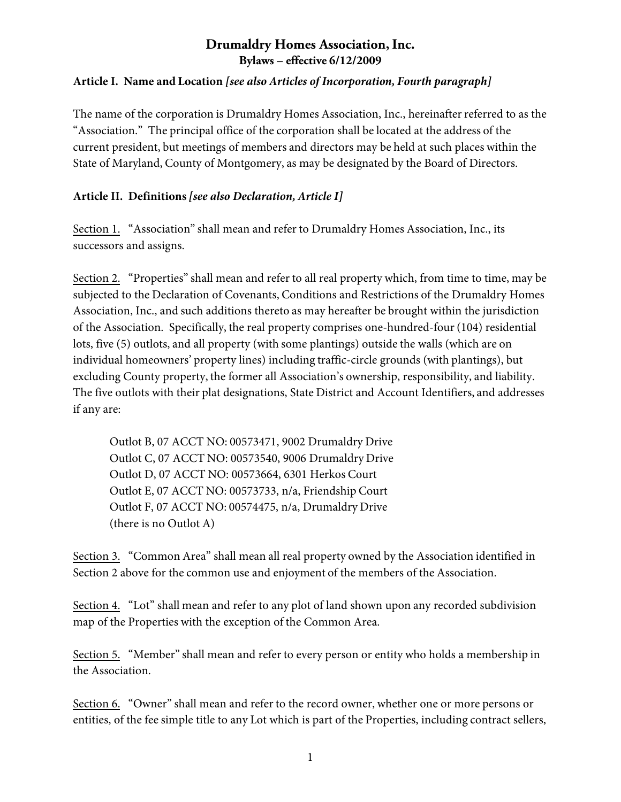#### **Article I. Name and Location** *[see also Articles of Incorporation, Fourth paragraph]*

The name of the corporation is Drumaldry Homes Association, Inc., hereinafter referred to as the "Association." The principal office of the corporation shall be located at the address of the current president, but meetings of members and directors may be held at such places within the State of Maryland, County of Montgomery, as may be designated by the Board of Directors.

#### **Article II. Definitions** *[see also Declaration, Article I]*

Section 1. "Association" shall mean and refer to Drumaldry Homes Association, Inc., its successors and assigns.

Section 2. "Properties" shall mean and refer to all real property which, from time to time, may be subjected to the Declaration of Covenants, Conditions and Restrictions of the Drumaldry Homes Association, Inc., and such additions thereto as may hereafter be brought within the jurisdiction of the Association. Specifically, the real property comprises one-hundred-four (104) residential lots, five (5) outlots, and all property (with some plantings) outside the walls (which are on individual homeowners' property lines) including traffic-circle grounds (with plantings), but excluding County property, the former all Association's ownership, responsibility, and liability. The five outlots with their plat designations, State District and Account Identifiers, and addresses if any are:

Outlot B, 07 ACCT NO: 00573471, 9002 Drumaldry Drive Outlot C, 07 ACCT NO: 00573540, 9006 Drumaldry Drive Outlot D, 07 ACCT NO: 00573664, 6301 Herkos Court Outlot E, 07 ACCT NO: 00573733, n/a, Friendship Court Outlot F, 07 ACCT NO: 00574475, n/a, Drumaldry Drive (there is no Outlot A)

Section 3. "Common Area" shall mean all real property owned by the Association identified in Section 2 above for the common use and enjoyment of the members of the Association.

Section 4. "Lot" shall mean and refer to any plot of land shown upon any recorded subdivision map of the Properties with the exception of the Common Area.

Section 5. "Member" shall mean and refer to every person or entity who holds a membership in the Association.

Section 6. "Owner" shall mean and refer to the record owner, whether one or more persons or entities, of the fee simple title to any Lot which is part of the Properties, including contract sellers,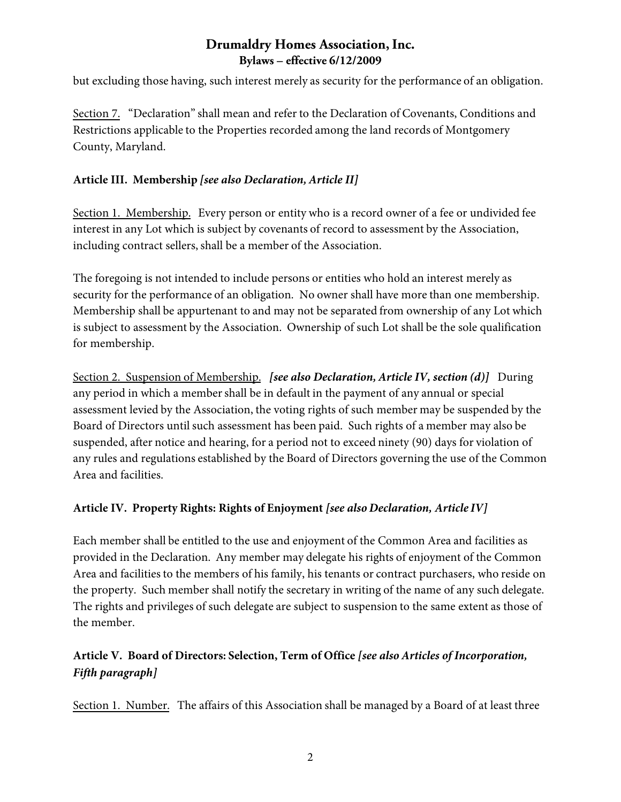but excluding those having, such interest merely as security for the performance of an obligation.

Section 7. "Declaration" shall mean and refer to the Declaration of Covenants, Conditions and Restrictions applicable to the Properties recorded among the land records of Montgomery County, Maryland.

#### **Article III. Membership** *[see also Declaration, Article II]*

Section 1. Membership. Every person or entity who is a record owner of a fee or undivided fee interest in any Lot which is subject by covenants of record to assessment by the Association, including contract sellers, shall be a member of the Association.

The foregoing is not intended to include persons or entities who hold an interest merely as security for the performance of an obligation. No owner shall have more than one membership. Membership shall be appurtenant to and may not be separated from ownership of any Lot which is subject to assessment by the Association. Ownership of such Lot shall be the sole qualification for membership.

Section 2. Suspension of Membership. *[see also Declaration, Article IV, section (d)]* During any period in which a member shall be in default in the payment of any annual or special assessment levied by the Association, the voting rights of such member may be suspended by the Board of Directors until such assessment has been paid. Such rights of a member may also be suspended, after notice and hearing, for a period not to exceed ninety (90) days for violation of any rules and regulations established by the Board of Directors governing the use of the Common Area and facilities.

#### **Article IV. Property Rights: Rights of Enjoyment** *[see also Declaration, Article IV]*

Each member shall be entitled to the use and enjoyment of the Common Area and facilities as provided in the Declaration. Any member may delegate his rights of enjoyment of the Common Area and facilities to the members of his family, his tenants or contract purchasers, who reside on the property. Such member shall notify the secretary in writing of the name of any such delegate. The rights and privileges of such delegate are subject to suspension to the same extent as those of the member.

# **Article V. Board of Directors: Selection, Term of Office** *[see also Articles of Incorporation, Fifth paragraph]*

Section 1. Number. The affairs of this Association shall be managed by a Board of at least three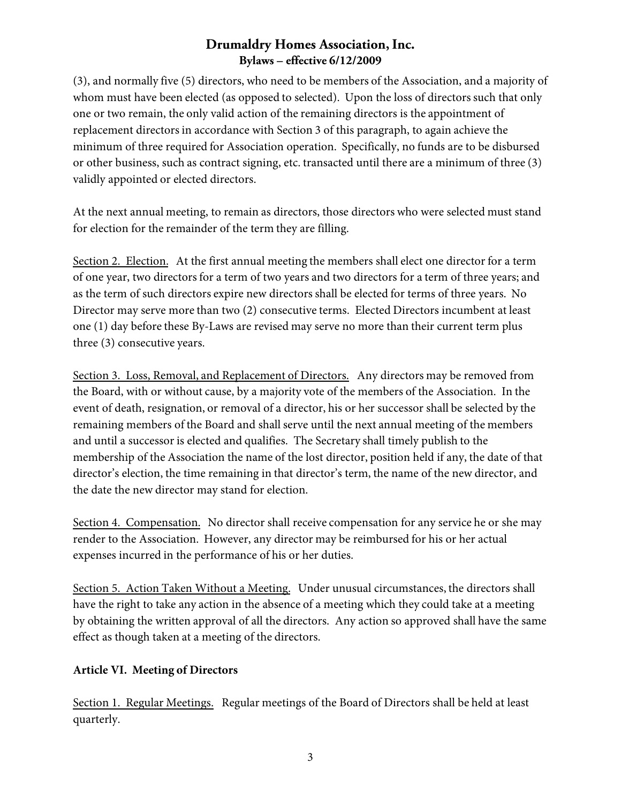(3), and normally five (5) directors, who need to be members of the Association, and a majority of whom must have been elected (as opposed to selected). Upon the loss of directors such that only one or two remain, the only valid action of the remaining directors is the appointment of replacement directors in accordance with Section 3 of this paragraph, to again achieve the minimum of three required for Association operation. Specifically, no funds are to be disbursed or other business, such as contract signing, etc. transacted until there are a minimum of three (3) validly appointed or elected directors.

At the next annual meeting, to remain as directors, those directors who were selected must stand for election for the remainder of the term they are filling.

Section 2. Election. At the first annual meeting the members shall elect one director for a term of one year, two directors for a term of two years and two directors for a term of three years; and as the term of such directors expire new directors shall be elected for terms of three years. No Director may serve more than two (2) consecutive terms. Elected Directors incumbent at least one (1) day before these By-Laws are revised may serve no more than their current term plus three (3) consecutive years.

Section 3. Loss, Removal, and Replacement of Directors. Any directors may be removed from the Board, with or without cause, by a majority vote of the members of the Association. In the event of death, resignation, or removal of a director, his or her successor shall be selected by the remaining members of the Board and shall serve until the next annual meeting of the members and until a successor is elected and qualifies. The Secretary shall timely publish to the membership of the Association the name of the lost director, position held if any, the date of that director's election, the time remaining in that director's term, the name of the new director, and the date the new director may stand for election.

Section 4. Compensation. No director shall receive compensation for any service he or she may render to the Association. However, any director may be reimbursed for his or her actual expenses incurred in the performance of his or her duties.

Section 5. Action Taken Without a Meeting. Under unusual circumstances, the directors shall have the right to take any action in the absence of a meeting which they could take at a meeting by obtaining the written approval of all the directors. Any action so approved shall have the same effect as though taken at a meeting of the directors.

#### **Article VI. Meeting of Directors**

Section 1. Regular Meetings. Regular meetings of the Board of Directors shall be held at least quarterly.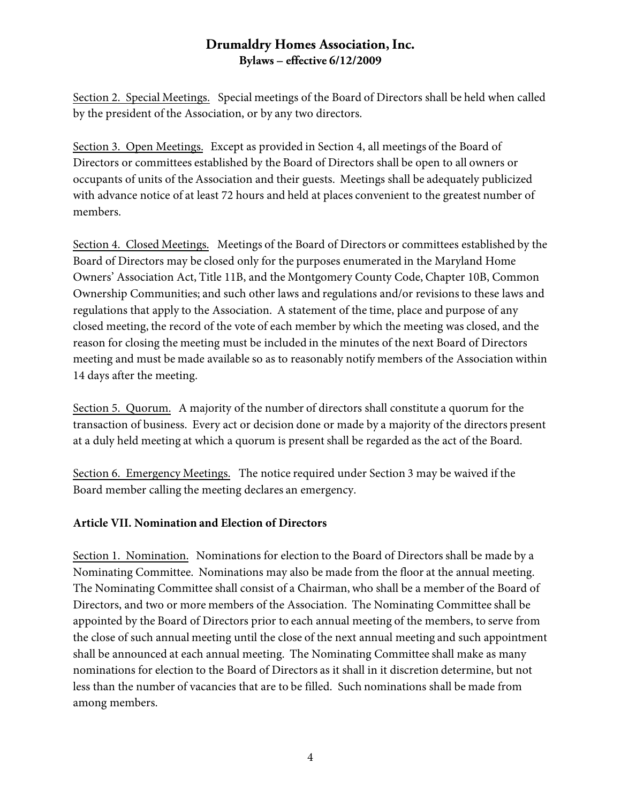Section 2. Special Meetings. Special meetings of the Board of Directors shall be held when called by the president of the Association, or by any two directors.

Section 3. Open Meetings. Except as provided in Section 4, all meetings of the Board of Directors or committees established by the Board of Directors shall be open to all owners or occupants of units of the Association and their guests. Meetings shall be adequately publicized with advance notice of at least 72 hours and held at places convenient to the greatest number of members.

Section 4. Closed Meetings. Meetings of the Board of Directors or committees established by the Board of Directors may be closed only for the purposes enumerated in the Maryland Home Owners' Association Act, Title 11B, and the Montgomery County Code, Chapter 10B, Common Ownership Communities; and such other laws and regulations and/or revisions to these laws and regulations that apply to the Association. A statement of the time, place and purpose of any closed meeting, the record of the vote of each member by which the meeting was closed, and the reason for closing the meeting must be included in the minutes of the next Board of Directors meeting and must be made available so as to reasonably notify members of the Association within 14 days after the meeting.

Section 5. Quorum. A majority of the number of directors shall constitute a quorum for the transaction of business. Every act or decision done or made by a majority of the directors present at a duly held meeting at which a quorum is present shall be regarded as the act of the Board.

Section 6. Emergency Meetings. The notice required under Section 3 may be waived if the Board member calling the meeting declares an emergency.

#### **Article VII. Nomination and Election of Directors**

Section 1. Nomination. Nominations for election to the Board of Directors shall be made by a Nominating Committee. Nominations may also be made from the floor at the annual meeting. The Nominating Committee shall consist of a Chairman, who shall be a member of the Board of Directors, and two or more members of the Association. The Nominating Committee shall be appointed by the Board of Directors prior to each annual meeting of the members, to serve from the close of such annual meeting until the close of the next annual meeting and such appointment shall be announced at each annual meeting. The Nominating Committee shall make as many nominations for election to the Board of Directors as it shall in it discretion determine, but not less than the number of vacancies that are to be filled. Such nominations shall be made from among members.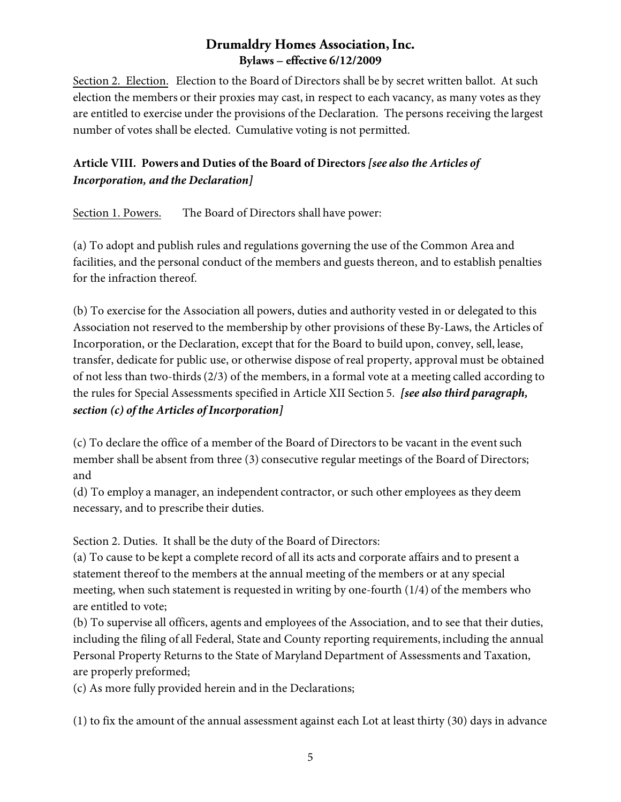Section 2. Election. Election to the Board of Directors shall be by secret written ballot. At such election the members or their proxies may cast, in respect to each vacancy, as many votes as they are entitled to exercise under the provisions of the Declaration. The persons receiving the largest number of votes shall be elected. Cumulative voting is not permitted.

# **Article VIII. Powers and Duties of the Board of Directors** *[see also the Articles of Incorporation, and the Declaration]*

Section 1. Powers. The Board of Directors shall have power:

(a) To adopt and publish rules and regulations governing the use of the Common Area and facilities, and the personal conduct of the members and guests thereon, and to establish penalties for the infraction thereof.

(b) To exercise for the Association all powers, duties and authority vested in or delegated to this Association not reserved to the membership by other provisions of these By-Laws, the Articles of Incorporation, or the Declaration, except that for the Board to build upon, convey, sell, lease, transfer, dedicate for public use, or otherwise dispose of real property, approval must be obtained of not less than two-thirds (2/3) of the members, in a formal vote at a meeting called according to the rules for Special Assessments specified in Article XII Section 5. *[see also third paragraph, section (c) of the Articles of Incorporation]*

(c) To declare the office of a member of the Board of Directors to be vacant in the event such member shall be absent from three (3) consecutive regular meetings of the Board of Directors; and

(d) To employ a manager, an independent contractor, or such other employees as they deem necessary, and to prescribe their duties.

Section 2. Duties. It shall be the duty of the Board of Directors:

(a) To cause to be kept a complete record of all its acts and corporate affairs and to present a statement thereof to the members at the annual meeting of the members or at any special meeting, when such statement is requested in writing by one-fourth (1/4) of the members who are entitled to vote;

(b) To supervise all officers, agents and employees of the Association, and to see that their duties, including the filing of all Federal, State and County reporting requirements, including the annual Personal Property Returns to the State of Maryland Department of Assessments and Taxation, are properly preformed;

(c) As more fully provided herein and in the Declarations;

(1) to fix the amount of the annual assessment against each Lot at least thirty (30) days in advance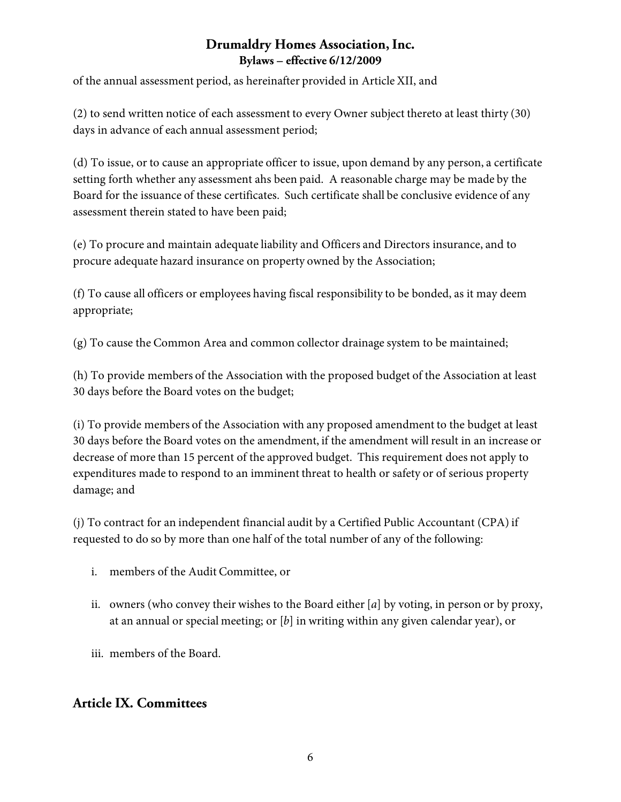of the annual assessment period, as hereinafter provided in Article XII, and

(2) to send written notice of each assessment to every Owner subject thereto at least thirty (30) days in advance of each annual assessment period;

(d) To issue, or to cause an appropriate officer to issue, upon demand by any person, a certificate setting forth whether any assessment ahs been paid. A reasonable charge may be made by the Board for the issuance of these certificates. Such certificate shall be conclusive evidence of any assessment therein stated to have been paid;

(e) To procure and maintain adequate liability and Officers and Directors insurance, and to procure adequate hazard insurance on property owned by the Association;

(f) To cause all officers or employees having fiscal responsibility to be bonded, as it may deem appropriate;

(g) To cause the Common Area and common collector drainage system to be maintained;

(h) To provide members of the Association with the proposed budget of the Association at least 30 days before the Board votes on the budget;

(i) To provide members of the Association with any proposed amendment to the budget at least 30 days before the Board votes on the amendment, if the amendment will result in an increase or decrease of more than 15 percent of the approved budget. This requirement does not apply to expenditures made to respond to an imminent threat to health or safety or of serious property damage; and

(j) To contract for an independent financial audit by a Certified Public Accountant (CPA) if requested to do so by more than one half of the total number of any of the following:

- i. members of the Audit Committee, or
- ii. owners (who convey their wishes to the Board either [*a*] by voting, in person or by proxy, at an annual or special meeting; or [*b*] in writing within any given calendar year), or
- iii. members of the Board.

# **Article IX. Committees**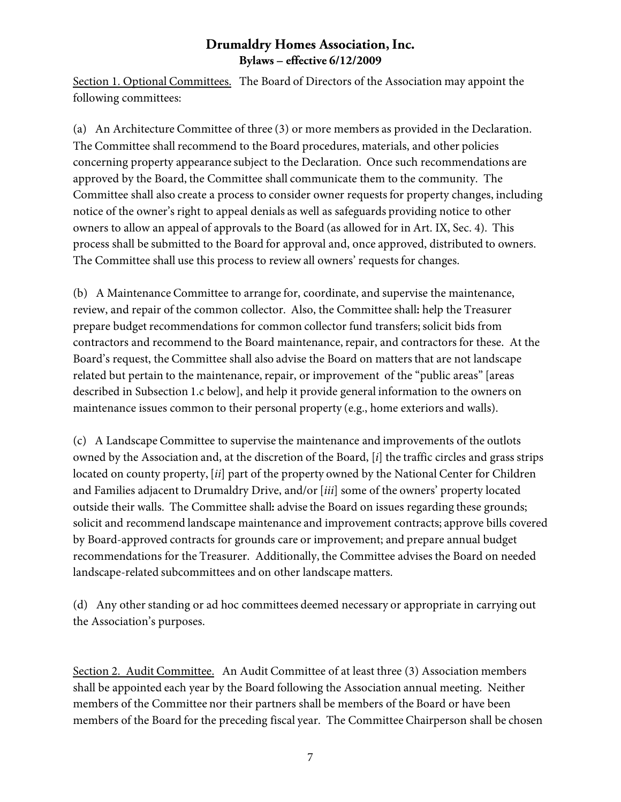Section 1. Optional Committees.The Board of Directors of the Association may appoint the following committees:

(a) An Architecture Committee of three (3) or more members as provided in the Declaration. The Committee shall recommend to the Board procedures, materials, and other policies concerning property appearance subject to the Declaration. Once such recommendations are approved by the Board, the Committee shall communicate them to the community. The Committee shall also create a process to consider owner requests for property changes, including notice of the owner's right to appeal denials as well as safeguards providing notice to other owners to allow an appeal of approvals to the Board (as allowed for in Art. IX, Sec. 4). This process shall be submitted to the Board for approval and, once approved, distributed to owners. The Committee shall use this process to review all owners' requests for changes.

(b) A Maintenance Committee to arrange for, coordinate, and supervise the maintenance, review, and repair of the common collector. Also, the Committee shall**:** help the Treasurer prepare budget recommendations for common collector fund transfers; solicit bids from contractors and recommend to the Board maintenance, repair, and contractors for these. At the Board's request, the Committee shall also advise the Board on matters that are not landscape related but pertain to the maintenance, repair, or improvement of the "public areas" [areas described in Subsection 1.c below], and help it provide general information to the owners on maintenance issues common to their personal property (e.g., home exteriors and walls).

(c) A Landscape Committee to supervise the maintenance and improvements of the outlots owned by the Association and, at the discretion of the Board, [*i*] the traffic circles and grass strips located on county property, [*ii*] part of the property owned by the National Center for Children and Families adjacent to Drumaldry Drive, and/or [*iii*] some of the owners' property located outside their walls. The Committee shall**:** advise the Board on issues regarding these grounds; solicit and recommend landscape maintenance and improvement contracts; approve bills covered by Board-approved contracts for grounds care or improvement; and prepare annual budget recommendations for the Treasurer. Additionally, the Committee advises the Board on needed landscape-related subcommittees and on other landscape matters.

(d) Any other standing or ad hoc committees deemed necessary or appropriate in carrying out the Association's purposes.

Section 2. Audit Committee.An Audit Committee of at least three (3) Association members shall be appointed each year by the Board following the Association annual meeting. Neither members of the Committee nor their partners shall be members of the Board or have been members of the Board for the preceding fiscal year. The Committee Chairperson shall be chosen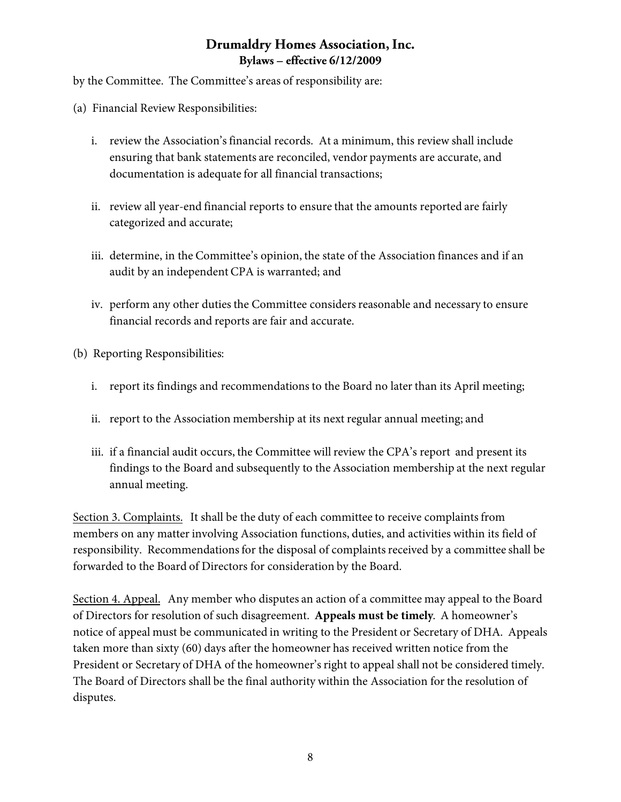by the Committee. The Committee's areas of responsibility are:

- (a) Financial Review Responsibilities:
	- i. review the Association's financial records. At a minimum, this review shall include ensuring that bank statements are reconciled, vendor payments are accurate, and documentation is adequate for all financial transactions;
	- ii. review all year-end financial reports to ensure that the amounts reported are fairly categorized and accurate;
	- iii. determine, in the Committee's opinion, the state of the Association finances and if an audit by an independent CPA is warranted; and
	- iv. perform any other duties the Committee considers reasonable and necessary to ensure financial records and reports are fair and accurate.
- (b) Reporting Responsibilities:
	- i. report its findings and recommendations to the Board no later than its April meeting;
	- ii. report to the Association membership at its next regular annual meeting; and
	- iii. if a financial audit occurs, the Committee will review the CPA's report and present its findings to the Board and subsequently to the Association membership at the next regular annual meeting.

Section 3. Complaints. It shall be the duty of each committee to receive complaints from members on any matter involving Association functions, duties, and activities within its field of responsibility. Recommendations for the disposal of complaints received by a committee shall be forwarded to the Board of Directors for consideration by the Board.

Section 4. Appeal. Any member who disputes an action of a committee may appeal to the Board of Directors for resolution of such disagreement. **Appeals must be timely**. A homeowner's notice of appeal must be communicated in writing to the President or Secretary of DHA. Appeals taken more than sixty (60) days after the homeowner has received written notice from the President or Secretary of DHA of the homeowner's right to appeal shall not be considered timely. The Board of Directors shall be the final authority within the Association for the resolution of disputes.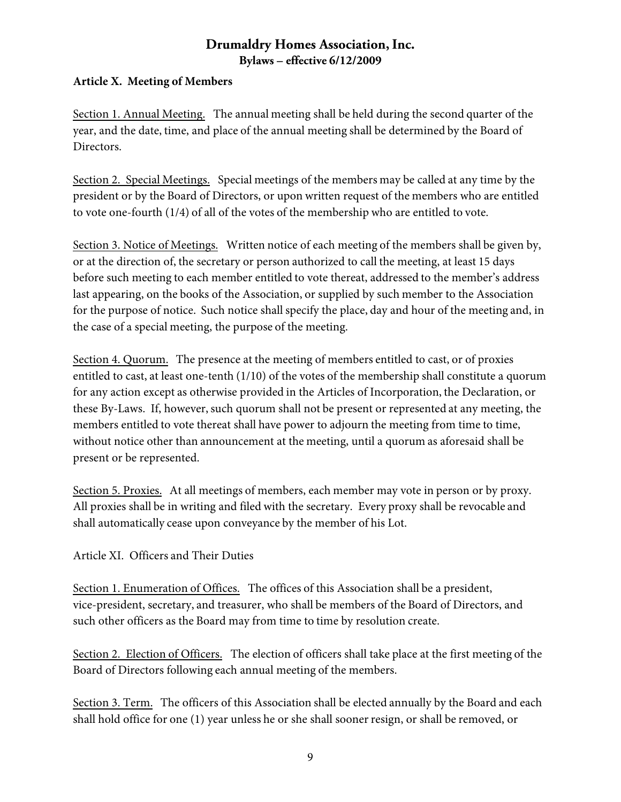#### **Article X. Meeting of Members**

Section 1. Annual Meeting. The annual meeting shall be held during the second quarter of the year, and the date, time, and place of the annual meeting shall be determined by the Board of Directors.

Section 2. Special Meetings. Special meetings of the members may be called at any time by the president or by the Board of Directors, or upon written request of the members who are entitled to vote one-fourth (1/4) of all of the votes of the membership who are entitled to vote.

Section 3. Notice of Meetings. Written notice of each meeting of the members shall be given by, or at the direction of, the secretary or person authorized to call the meeting, at least 15 days before such meeting to each member entitled to vote thereat, addressed to the member's address last appearing, on the books of the Association, or supplied by such member to the Association for the purpose of notice. Such notice shall specify the place, day and hour of the meeting and, in the case of a special meeting, the purpose of the meeting.

Section 4. Quorum. The presence at the meeting of members entitled to cast, or of proxies entitled to cast, at least one-tenth (1/10) of the votes of the membership shall constitute a quorum for any action except as otherwise provided in the Articles of Incorporation, the Declaration, or these By-Laws. If, however, such quorum shall not be present or represented at any meeting, the members entitled to vote thereat shall have power to adjourn the meeting from time to time, without notice other than announcement at the meeting, until a quorum as aforesaid shall be present or be represented.

Section 5. Proxies. At all meetings of members, each member may vote in person or by proxy. All proxies shall be in writing and filed with the secretary. Every proxy shall be revocable and shall automatically cease upon conveyance by the member of his Lot.

Article XI. Officers and Their Duties

Section 1. Enumeration of Offices. The offices of this Association shall be a president, vice-president, secretary, and treasurer, who shall be members of the Board of Directors, and such other officers as the Board may from time to time by resolution create.

Section 2. Election of Officers. The election of officers shall take place at the first meeting of the Board of Directors following each annual meeting of the members.

Section 3. Term. The officers of this Association shall be elected annually by the Board and each shall hold office for one (1) year unless he or she shall sooner resign, or shall be removed, or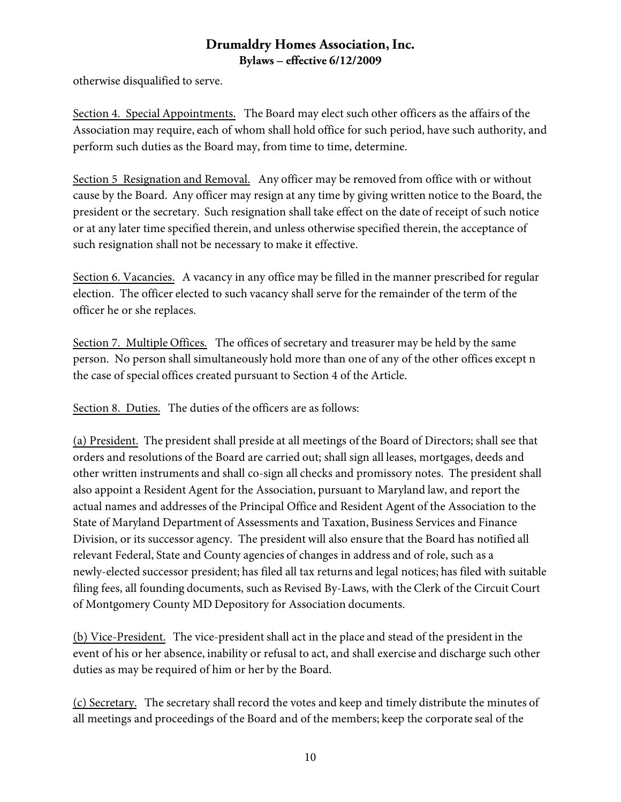otherwise disqualified to serve.

Section 4. Special Appointments. The Board may elect such other officers as the affairs of the Association may require, each of whom shall hold office for such period, have such authority, and perform such duties as the Board may, from time to time, determine.

Section 5 Resignation and Removal. Any officer may be removed from office with or without cause by the Board. Any officer may resign at any time by giving written notice to the Board, the president or the secretary. Such resignation shall take effect on the date of receipt of such notice or at any later time specified therein, and unless otherwise specified therein, the acceptance of such resignation shall not be necessary to make it effective.

Section 6. Vacancies. A vacancy in any office may be filled in the manner prescribed for regular election. The officer elected to such vacancy shall serve for the remainder of the term of the officer he or she replaces.

Section 7. Multiple Offices. The offices of secretary and treasurer may be held by the same person. No person shall simultaneously hold more than one of any of the other offices except n the case of special offices created pursuant to Section 4 of the Article.

Section 8. Duties. The duties of the officers are as follows:

(a) President. The president shall preside at all meetings of the Board of Directors; shall see that orders and resolutions of the Board are carried out; shall sign all leases, mortgages, deeds and other written instruments and shall co-sign all checks and promissory notes. The president shall also appoint a Resident Agent for the Association, pursuant to Maryland law, and report the actual names and addresses of the Principal Office and Resident Agent of the Association to the State of Maryland Department of Assessments and Taxation, Business Services and Finance Division, or its successor agency. The president will also ensure that the Board has notified all relevant Federal, State and County agencies of changes in address and of role, such as a newly-elected successor president; has filed all tax returns and legal notices; has filed with suitable filing fees, all founding documents, such as Revised By-Laws, with the Clerk of the Circuit Court of Montgomery County MD Depository for Association documents.

(b) Vice-President. The vice-president shall act in the place and stead of the president in the event of his or her absence, inability or refusal to act, and shall exercise and discharge such other duties as may be required of him or her by the Board.

(c) Secretary. The secretary shall record the votes and keep and timely distribute the minutes of all meetings and proceedings of the Board and of the members; keep the corporate seal of the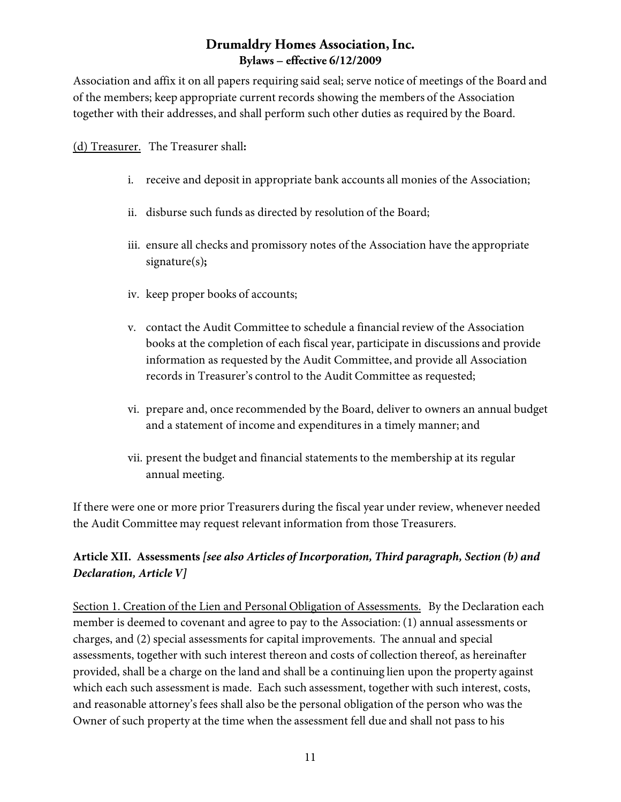Association and affix it on all papers requiring said seal; serve notice of meetings of the Board and of the members; keep appropriate current records showing the members of the Association together with their addresses, and shall perform such other duties as required by the Board.

(d) Treasurer. The Treasurer shall**:**

- i. receive and deposit in appropriate bank accounts all monies of the Association;
- ii. disburse such funds as directed by resolution of the Board;
- iii. ensure all checks and promissory notes of the Association have the appropriate signature(s)**;**
- iv. keep proper books of accounts;
- v. contact the Audit Committee to schedule a financial review of the Association books at the completion of each fiscal year, participate in discussions and provide information as requested by the Audit Committee, and provide all Association records in Treasurer's control to the Audit Committee as requested;
- vi. prepare and, once recommended by the Board, deliver to owners an annual budget and a statement of income and expenditures in a timely manner; and
- vii. present the budget and financial statements to the membership at its regular annual meeting.

If there were one or more prior Treasurers during the fiscal year under review, whenever needed the Audit Committee may request relevant information from those Treasurers.

# **Article XII. Assessments** *[see also Articles of Incorporation, Third paragraph, Section (b) and Declaration, Article V]*

Section 1. Creation of the Lien and Personal Obligation of Assessments. By the Declaration each member is deemed to covenant and agree to pay to the Association: (1) annual assessments or charges, and (2) special assessments for capital improvements. The annual and special assessments, together with such interest thereon and costs of collection thereof, as hereinafter provided, shall be a charge on the land and shall be a continuing lien upon the property against which each such assessment is made. Each such assessment, together with such interest, costs, and reasonable attorney's fees shall also be the personal obligation of the person who was the Owner of such property at the time when the assessment fell due and shall not pass to his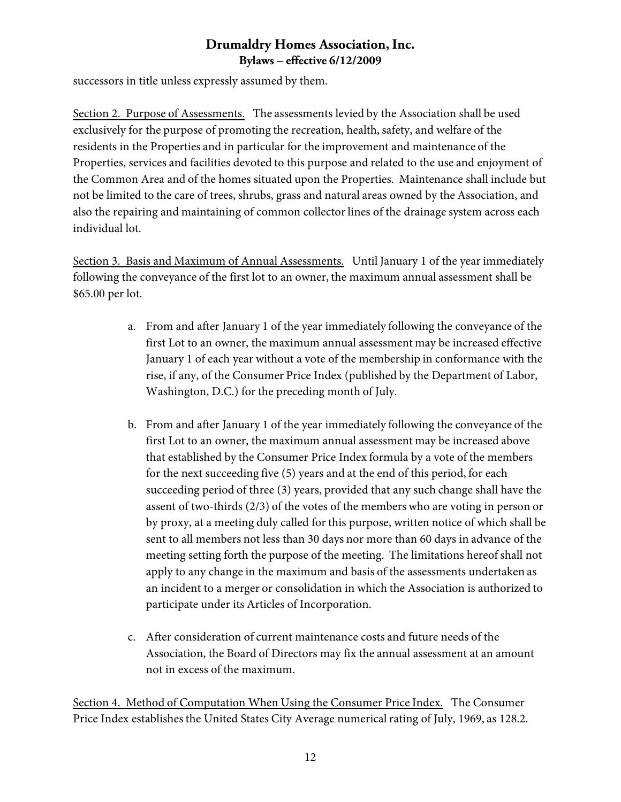successors in title unless expressly assumed by them.

Section 2. Purpose of Assessments. The assessments levied by the Association shall be used exclusively for the purpose of promoting the recreation, health, safety, and welfare of the residents in the Properties and in particular for the improvement and maintenance of the Properties, services and facilities devoted to this purpose and related to the use and enjoyment of the Common Area and of the homes situated upon the Properties. Maintenance shall include but not be limited to the care of trees, shrubs, grass and natural areas owned by the Association, and also the repairing and maintaining of common collector lines of the drainage system across each individual lot.

Section 3. Basis and Maximum of Annual Assessments. Until January 1 of the year immediately following the conveyance of the first lot to an owner, the maximum annual assessment shall be \$65.00 per lot.

- a. From and after January 1 of the year immediately following the conveyance of the first Lot to an owner, the maximum annual assessment may be increased effective January 1 of each year without a vote of the membership in conformance with the rise, if any, of the Consumer Price Index (published by the Department of Labor, Washington, D.C.) for the preceding month of July.
- b. From and after January 1 of the year immediately following the conveyance of the first Lot to an owner, the maximum annual assessment may be increased above that established by the Consumer Price Index formula by a vote of the members for the next succeeding five (5) years and at the end of this period, for each succeeding period of three (3) years, provided that any such change shall have the assent of two-thirds (2/3) of the votes of the members who are voting in person or by proxy, at a meeting duly called for this purpose, written notice of which shall be sent to all members not less than 30 days nor more than 60 days in advance of the meeting setting forth the purpose of the meeting. The limitations hereof shall not apply to any change in the maximum and basis of the assessments undertaken as an incident to a merger or consolidation in which the Association is authorized to participate under its Articles of Incorporation.
- c. After consideration of current maintenance costs and future needs of the Association, the Board of Directors may fix the annual assessment at an amount not in excess of the maximum.

Section 4. Method of Computation When Using the Consumer Price Index. The Consumer Price Index establishes the United States City Average numerical rating of July, 1969, as 128.2.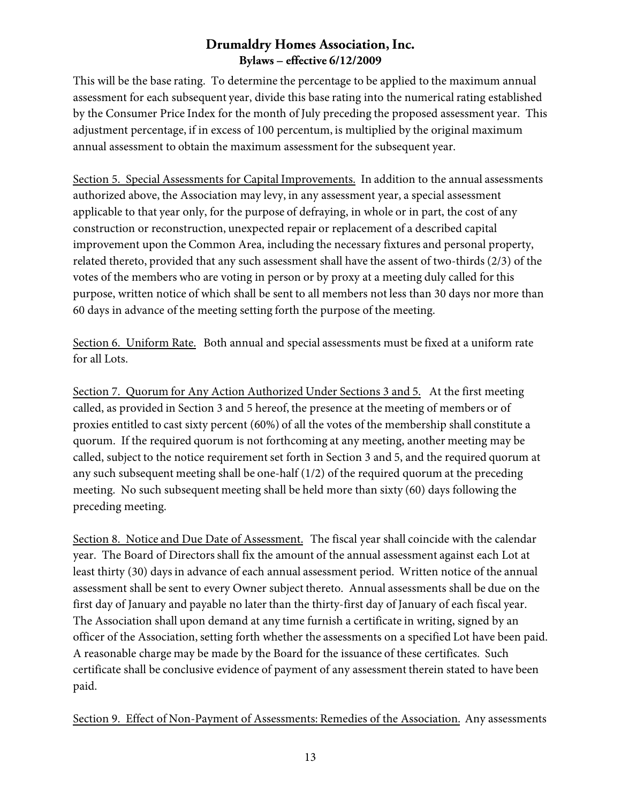This will be the base rating. To determine the percentage to be applied to the maximum annual assessment for each subsequent year, divide this base rating into the numerical rating established by the Consumer Price Index for the month of July preceding the proposed assessment year. This adjustment percentage, if in excess of 100 percentum, is multiplied by the original maximum annual assessment to obtain the maximum assessment for the subsequent year.

Section 5. Special Assessments for Capital Improvements. In addition to the annual assessments authorized above, the Association may levy, in any assessment year, a special assessment applicable to that year only, for the purpose of defraying, in whole or in part, the cost of any construction or reconstruction, unexpected repair or replacement of a described capital improvement upon the Common Area, including the necessary fixtures and personal property, related thereto, provided that any such assessment shall have the assent of two-thirds (2/3) of the votes of the members who are voting in person or by proxy at a meeting duly called for this purpose, written notice of which shall be sent to all members not less than 30 days nor more than 60 days in advance of the meeting setting forth the purpose of the meeting.

Section 6. Uniform Rate. Both annual and special assessments must be fixed at a uniform rate for all Lots.

Section 7. Quorum for Any Action Authorized Under Sections 3 and 5. At the first meeting called, as provided in Section 3 and 5 hereof, the presence at the meeting of members or of proxies entitled to cast sixty percent (60%) of all the votes of the membership shall constitute a quorum. If the required quorum is not forthcoming at any meeting, another meeting may be called, subject to the notice requirement set forth in Section 3 and 5, and the required quorum at any such subsequent meeting shall be one-half (1/2) of the required quorum at the preceding meeting. No such subsequent meeting shall be held more than sixty (60) days following the preceding meeting.

Section 8. Notice and Due Date of Assessment. The fiscal year shall coincide with the calendar year. The Board of Directors shall fix the amount of the annual assessment against each Lot at least thirty (30) days in advance of each annual assessment period. Written notice of the annual assessment shall be sent to every Owner subject thereto. Annual assessments shall be due on the first day of January and payable no later than the thirty-first day of January of each fiscal year. The Association shall upon demand at any time furnish a certificate in writing, signed by an officer of the Association, setting forth whether the assessments on a specified Lot have been paid. A reasonable charge may be made by the Board for the issuance of these certificates. Such certificate shall be conclusive evidence of payment of any assessment therein stated to have been paid.

Section 9. Effect of Non-Payment of Assessments: Remedies of the Association. Any assessments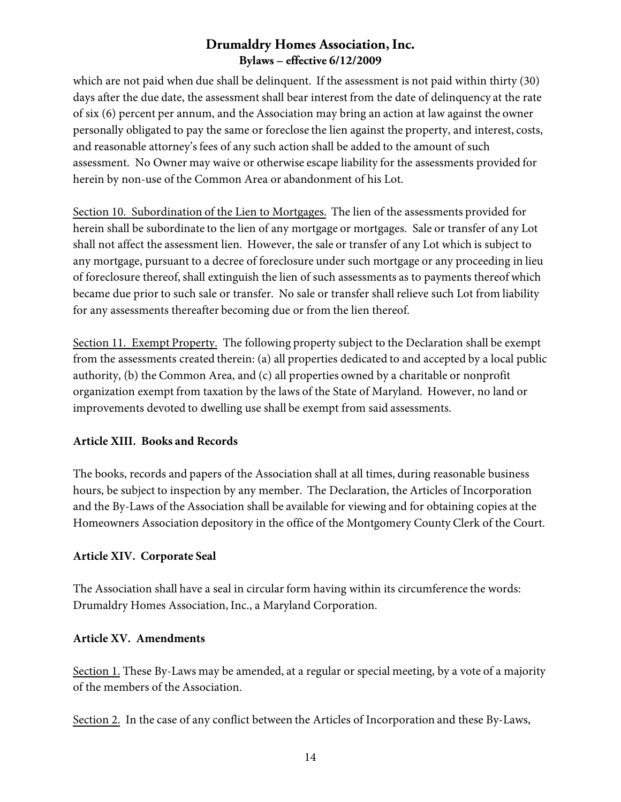which are not paid when due shall be delinquent. If the assessment is not paid within thirty (30) days after the due date, the assessment shall bear interest from the date of delinquency at the rate of six (6) percent per annum, and the Association may bring an action at law against the owner personally obligated to pay the same or foreclose the lien against the property, and interest, costs, and reasonable attorney's fees of any such action shall be added to the amount of such assessment. No Owner may waive or otherwise escape liability for the assessments provided for herein by non-use of the Common Area or abandonment of his Lot.

Section 10. Subordination of the Lien to Mortgages. The lien of the assessments provided for herein shall be subordinate to the lien of any mortgage or mortgages. Sale or transfer of any Lot shall not affect the assessment lien. However, the sale or transfer of any Lot which is subject to any mortgage, pursuant to a decree of foreclosure under such mortgage or any proceeding in lieu of foreclosure thereof, shall extinguish the lien of such assessments as to payments thereof which became due prior to such sale or transfer. No sale or transfer shall relieve such Lot from liability for any assessments thereafter becoming due or from the lien thereof.

Section 11. Exempt Property. The following property subject to the Declaration shall be exempt from the assessments created therein: (a) all properties dedicated to and accepted by a local public authority, (b) the Common Area, and (c) all properties owned by a charitable or nonprofit organization exempt from taxation by the laws of the State of Maryland. However, no land or improvements devoted to dwelling use shall be exempt from said assessments.

#### **Article XIII. Books and Records**

The books, records and papers of the Association shall at all times, during reasonable business hours, be subject to inspection by any member. The Declaration, the Articles of Incorporation and the By-Laws of the Association shall be available for viewing and for obtaining copies at the Homeowners Association depository in the office of the Montgomery County Clerk of the Court.

# **Article XIV. Corporate Seal**

The Association shall have a seal in circular form having within its circumference the words: Drumaldry Homes Association, Inc., a Maryland Corporation.

#### **Article XV. Amendments**

Section 1. These By-Laws may be amended, at a regular or special meeting, by a vote of a majority of the members of the Association.

Section 2. In the case of any conflict between the Articles of Incorporation and these By-Laws,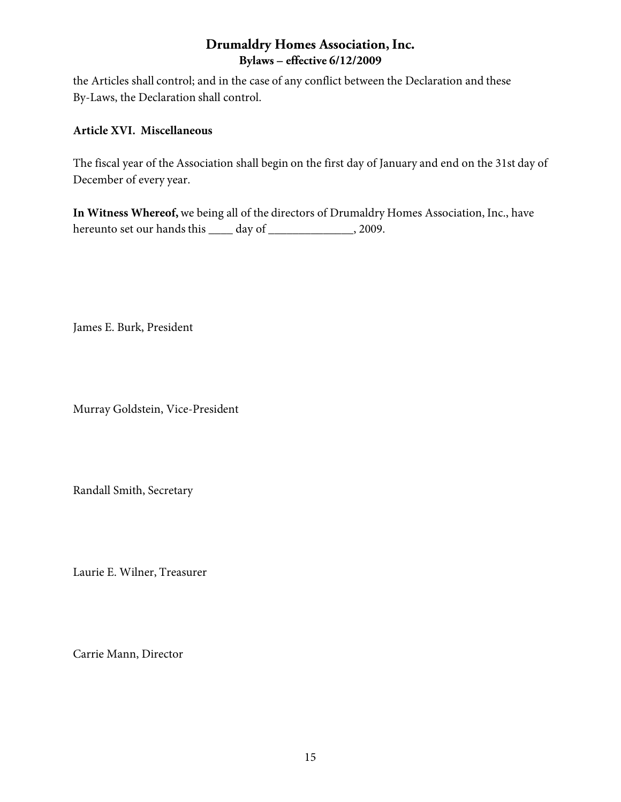the Articles shall control; and in the case of any conflict between the Declaration and these By-Laws, the Declaration shall control.

#### **Article XVI. Miscellaneous**

The fiscal year of the Association shall begin on the first day of January and end on the 31st day of December of every year.

**In Witness Whereof,** we being all of the directors of Drumaldry Homes Association, Inc., have hereunto set our hands this \_\_\_\_ day of \_\_\_\_\_\_\_\_\_\_\_\_\_\_, 2009.

James E. Burk, President

Murray Goldstein, Vice-President

Randall Smith, Secretary

Laurie E. Wilner, Treasurer

Carrie Mann, Director